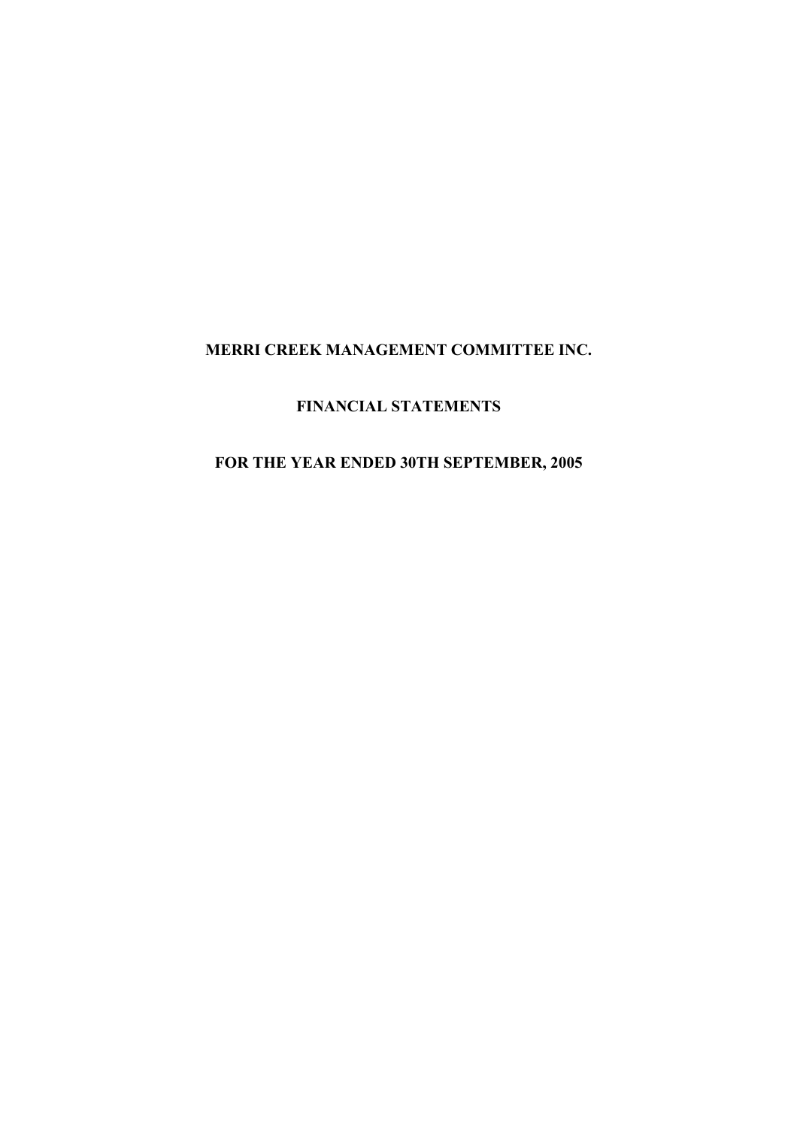# **FINANCIAL STATEMENTS**

# **FOR THE YEAR ENDED 30TH SEPTEMBER, 2005**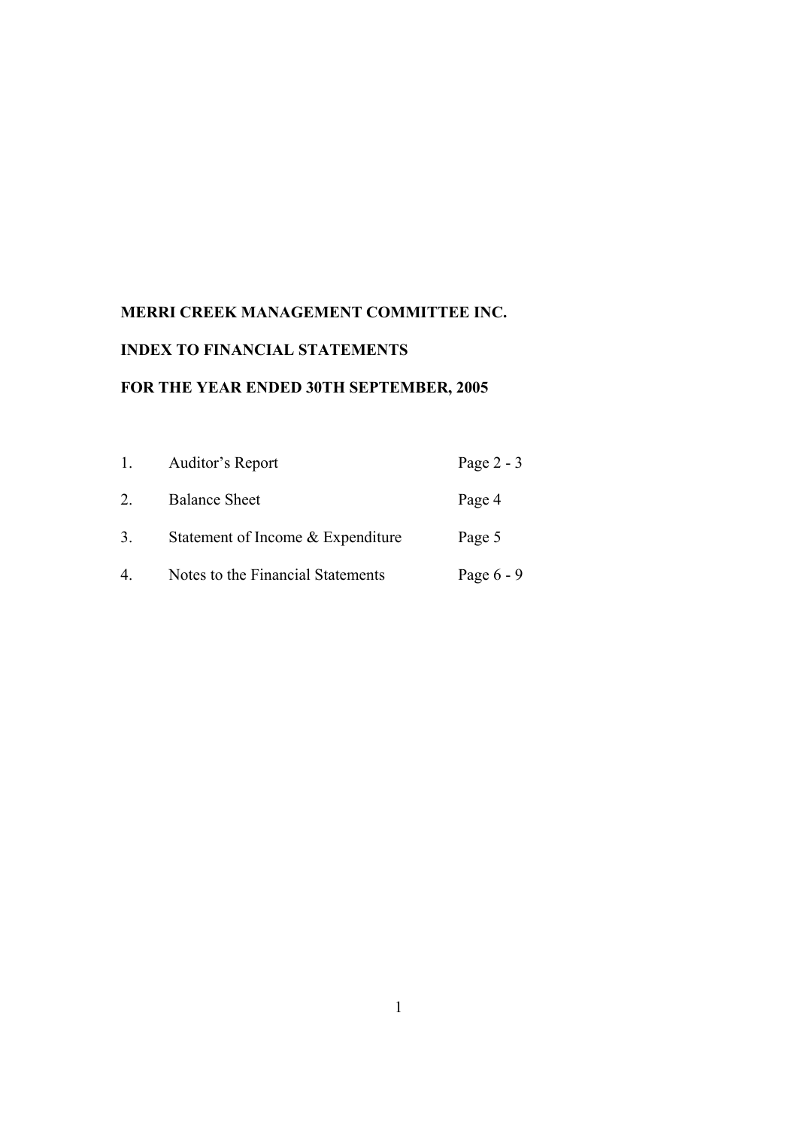# **INDEX TO FINANCIAL STATEMENTS**

# **FOR THE YEAR ENDED 30TH SEPTEMBER, 2005**

| 1. | Auditor's Report                  | Page $2 - 3$ |
|----|-----------------------------------|--------------|
| 2  | <b>Balance Sheet</b>              | Page 4       |
| 3. | Statement of Income & Expenditure | Page 5       |
| 4. | Notes to the Financial Statements | Page $6 - 9$ |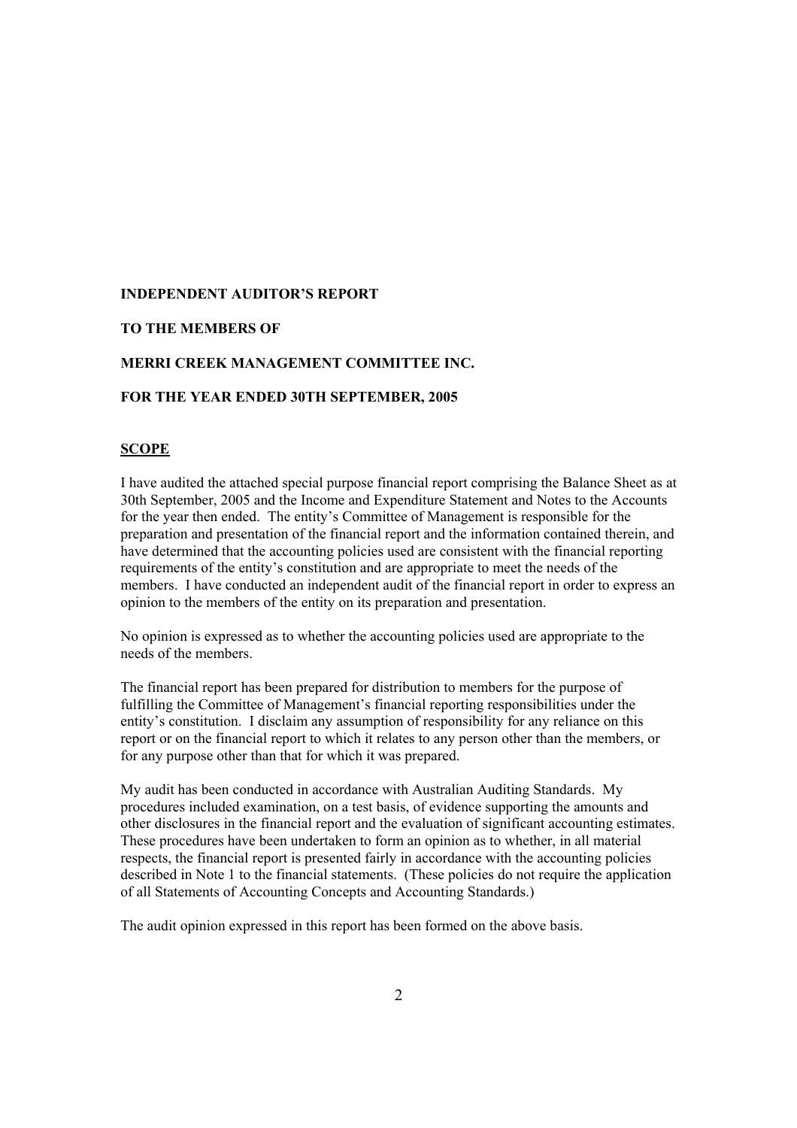#### **INDEPENDENT AUDITOR'S REPORT**

#### **TO THE MEMBERS OF**

#### **MERRI CREEK MANAGEMENT COMMITTEE INC.**

#### **FOR THE YEAR ENDED 30TH SEPTEMBER, 2005**

#### **SCOPE**

I have audited the attached special purpose financial report comprising the Balance Sheet as at 30th September, 2005 and the Income and Expenditure Statement and Notes to the Accounts for the year then ended. The entity's Committee of Management is responsible for the preparation and presentation of the financial report and the information contained therein, and have determined that the accounting policies used are consistent with the financial reporting requirements of the entity's constitution and are appropriate to meet the needs of the members. I have conducted an independent audit of the financial report in order to express an opinion to the members of the entity on its preparation and presentation.

No opinion is expressed as to whether the accounting policies used are appropriate to the needs of the members.

The financial report has been prepared for distribution to members for the purpose of fulfilling the Committee of Management's financial reporting responsibilities under the entity's constitution. I disclaim any assumption of responsibility for any reliance on this report or on the financial report to which it relates to any person other than the members, or for any purpose other than that for which it was prepared.

My audit has been conducted in accordance with Australian Auditing Standards. My procedures included examination, on a test basis, of evidence supporting the amounts and other disclosures in the financial report and the evaluation of significant accounting estimates. These procedures have been undertaken to form an opinion as to whether, in all material respects, the financial report is presented fairly in accordance with the accounting policies described in Note 1 to the financial statements. (These policies do not require the application of all Statements of Accounting Concepts and Accounting Standards.)

The audit opinion expressed in this report has been formed on the above basis.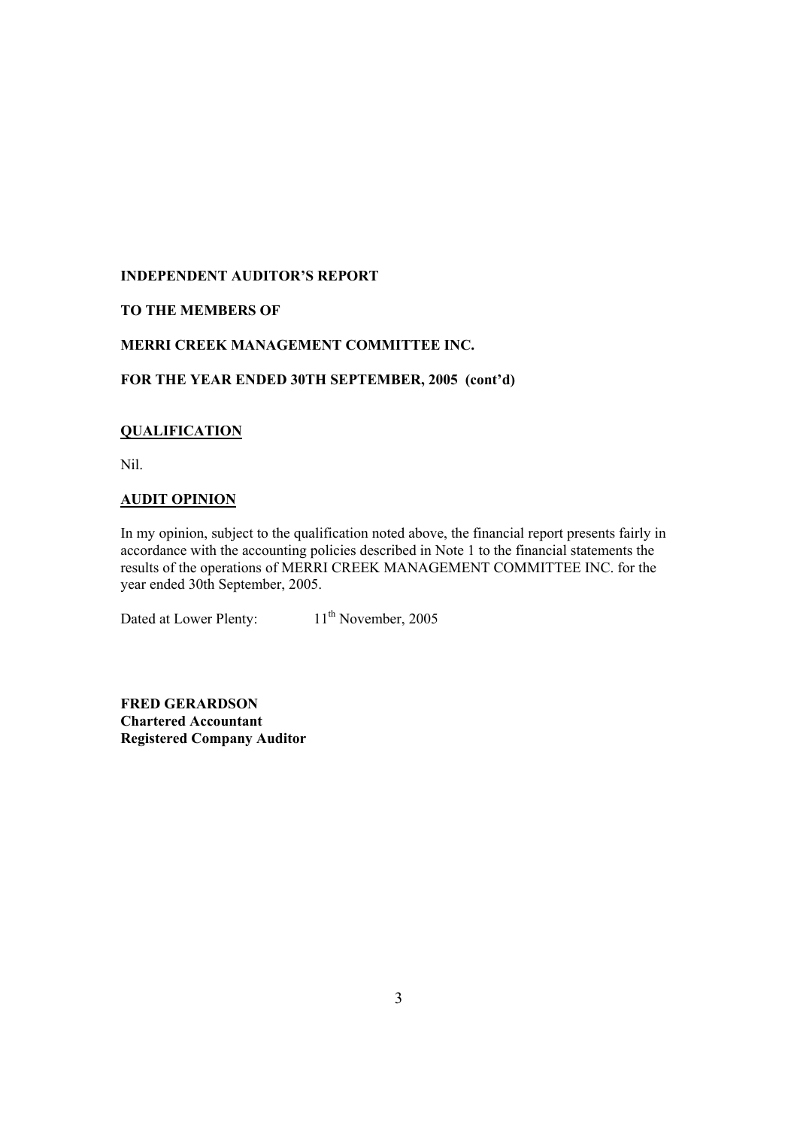# **INDEPENDENT AUDITOR'S REPORT**

# **TO THE MEMBERS OF**

### **MERRI CREEK MANAGEMENT COMMITTEE INC.**

#### **FOR THE YEAR ENDED 30TH SEPTEMBER, 2005 (cont'd)**

#### **QUALIFICATION**

Nil.

#### **AUDIT OPINION**

In my opinion, subject to the qualification noted above, the financial report presents fairly in accordance with the accounting policies described in Note 1 to the financial statements the results of the operations of MERRI CREEK MANAGEMENT COMMITTEE INC. for the year ended 30th September, 2005.

Dated at Lower Plenty: 11<sup>th</sup> November, 2005

**FRED GERARDSON Chartered Accountant Registered Company Auditor**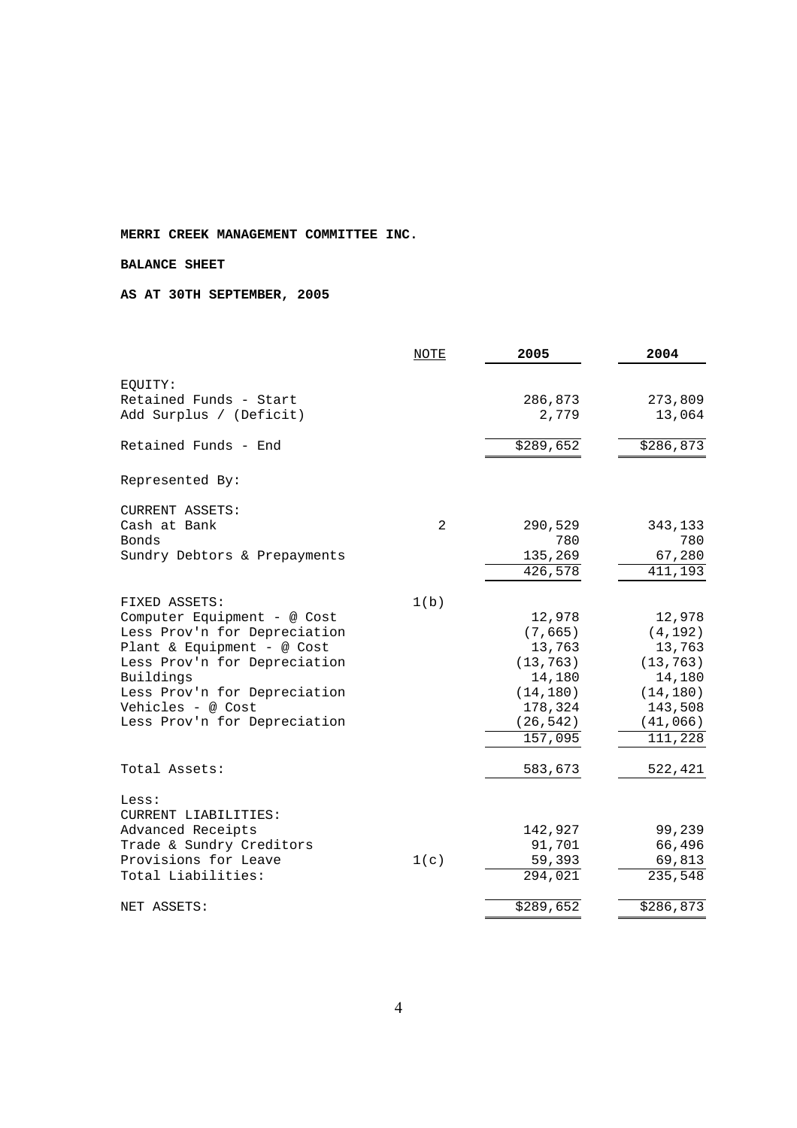#### **BALANCE SHEET**

#### **AS AT 30TH SEPTEMBER, 2005**

|                              | NOTE | 2005      | 2004      |
|------------------------------|------|-----------|-----------|
| EQUITY:                      |      |           |           |
| Retained Funds - Start       |      | 286,873   | 273,809   |
| Add Surplus / (Deficit)      |      | 2,779     | 13,064    |
|                              |      |           |           |
| Retained Funds - End         |      | \$289,652 | \$286,873 |
| Represented By:              |      |           |           |
| <b>CURRENT ASSETS:</b>       |      |           |           |
| Cash at Bank                 | 2    | 290,529   | 343,133   |
| Bonds                        |      | 780       | 780       |
| Sundry Debtors & Prepayments |      | 135,269   | 67,280    |
|                              |      | 426,578   | 411,193   |
| FIXED ASSETS:                | 1(b) |           |           |
| Computer Equipment - @ Cost  |      | 12,978    | 12,978    |
| Less Prov'n for Depreciation |      | (7, 665)  | (4, 192)  |
| Plant & Equipment - @ Cost   |      | 13,763    | 13,763    |
| Less Prov'n for Depreciation |      | (13, 763) | (13, 763) |
| Buildings                    |      | 14,180    | 14,180    |
| Less Prov'n for Depreciation |      | (14, 180) | (14, 180) |
| Vehicles - @ Cost            |      | 178,324   | 143,508   |
| Less Prov'n for Depreciation |      | (26, 542) | (41,066)  |
|                              |      | 157,095   | 111,228   |
| Total Assets:                |      | 583,673   | 522,421   |
| Less:                        |      |           |           |
| CURRENT LIABILITIES:         |      |           |           |
| Advanced Receipts            |      | 142,927   | 99,239    |
| Trade & Sundry Creditors     |      | 91,701    | 66,496    |
| Provisions for Leave         | 1(c) | 59,393    | 69,813    |
| Total Liabilities:           |      | 294,021   | 235,548   |
| NET ASSETS:                  |      | \$289,652 | \$286,873 |
|                              |      |           |           |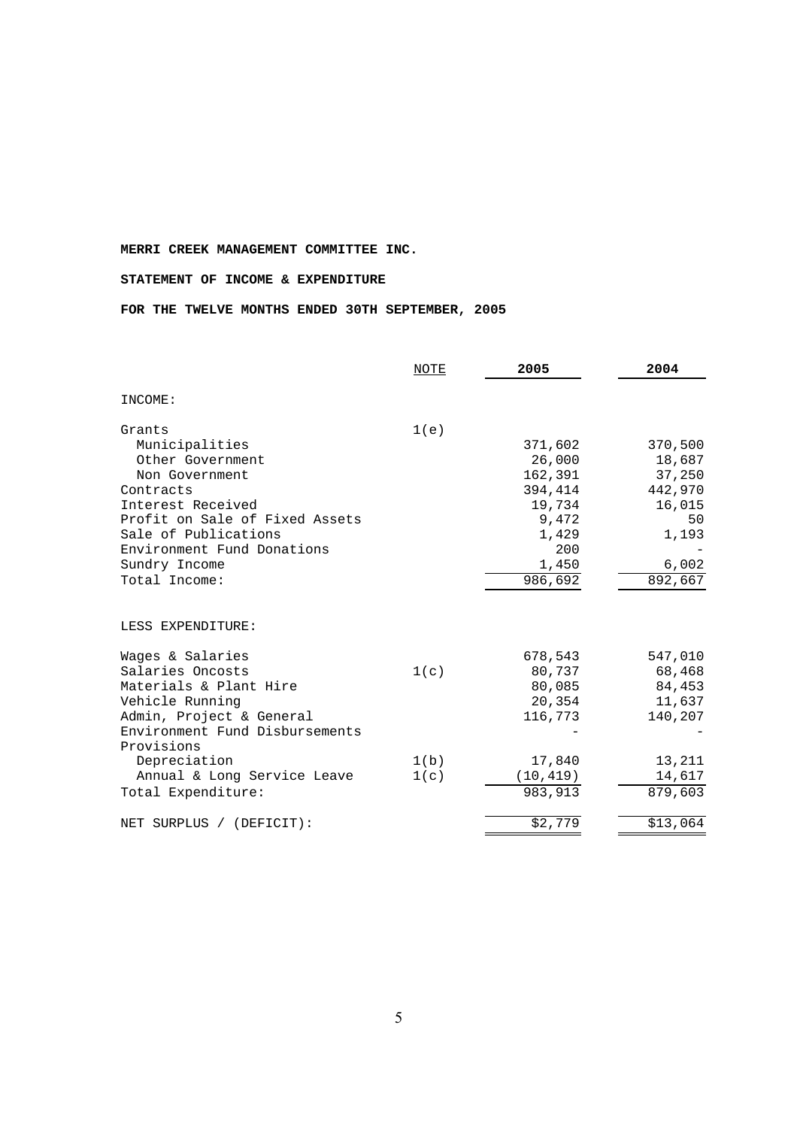#### **STATEMENT OF INCOME & EXPENDITURE**

**FOR THE TWELVE MONTHS ENDED 30TH SEPTEMBER, 2005** 

|                                | NOTE | 2005                 | 2004     |
|--------------------------------|------|----------------------|----------|
| INCOME:                        |      |                      |          |
| Grants                         | 1(e) |                      |          |
| Municipalities                 |      | 371,602              | 370,500  |
| Other Government               |      | 26,000               | 18,687   |
| Non Government                 |      | 162,391              | 37,250   |
| Contracts                      |      | 394,414              | 442,970  |
| Interest Received              |      | 19,734               | 16,015   |
| Profit on Sale of Fixed Assets |      | 9,472                | 50       |
| Sale of Publications           |      | 1,429                | 1,193    |
| Environment Fund Donations     |      | 200                  |          |
| Sundry Income                  |      | 1,450                | 6,002    |
| Total Income:                  |      | $\overline{986,692}$ | 892,667  |
| LESS EXPENDITURE:              |      |                      |          |
| Wages & Salaries               |      | 678,543              | 547,010  |
| Salaries Oncosts               | 1(c) | 80,737               | 68,468   |
| Materials & Plant Hire         |      | 80,085               | 84,453   |
| Vehicle Running                |      | 20,354               | 11,637   |
| Admin, Project & General       |      | 116,773              | 140,207  |
| Environment Fund Disbursements |      |                      |          |
| Provisions                     |      |                      |          |
| Depreciation                   | 1(b) | 17,840               | 13,211   |
| Annual & Long Service Leave    | 1(c) | (10, 419)            | 14,617   |
| Total Expenditure:             |      | 983, 913             | 879,603  |
| NET SURPLUS / (DEFICIT):       |      | \$2,779              | \$13,064 |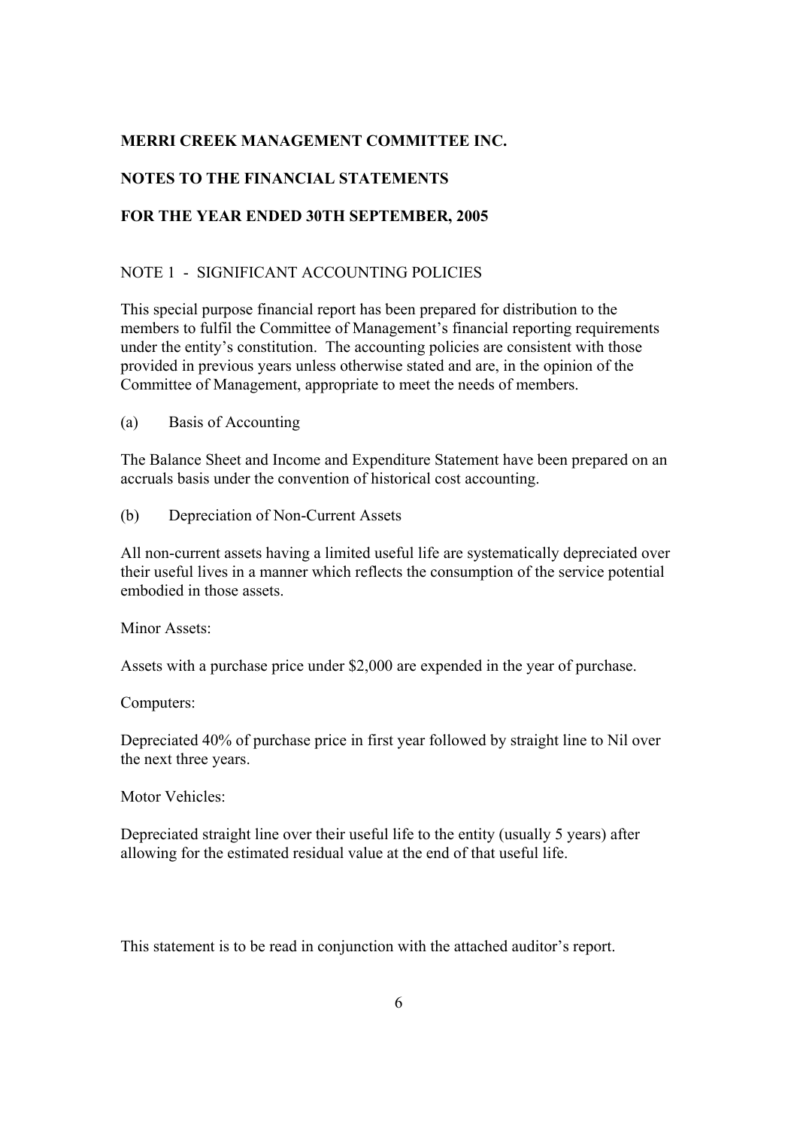# **NOTES TO THE FINANCIAL STATEMENTS**

# **FOR THE YEAR ENDED 30TH SEPTEMBER, 2005**

# NOTE 1 - SIGNIFICANT ACCOUNTING POLICIES

This special purpose financial report has been prepared for distribution to the members to fulfil the Committee of Management's financial reporting requirements under the entity's constitution. The accounting policies are consistent with those provided in previous years unless otherwise stated and are, in the opinion of the Committee of Management, appropriate to meet the needs of members.

(a) Basis of Accounting

The Balance Sheet and Income and Expenditure Statement have been prepared on an accruals basis under the convention of historical cost accounting.

(b) Depreciation of Non-Current Assets

All non-current assets having a limited useful life are systematically depreciated over their useful lives in a manner which reflects the consumption of the service potential embodied in those assets.

Minor Assets:

Assets with a purchase price under \$2,000 are expended in the year of purchase.

Computers:

Depreciated 40% of purchase price in first year followed by straight line to Nil over the next three years.

Motor Vehicles:

Depreciated straight line over their useful life to the entity (usually 5 years) after allowing for the estimated residual value at the end of that useful life.

This statement is to be read in conjunction with the attached auditor's report.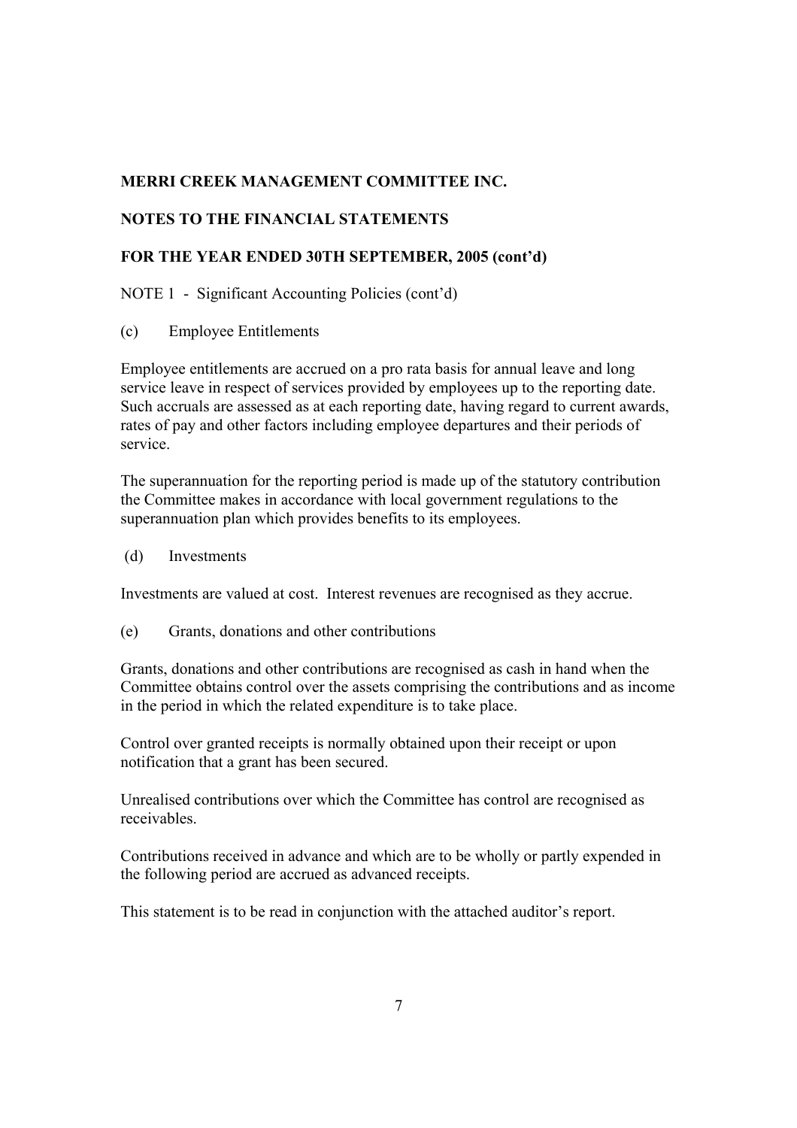# **NOTES TO THE FINANCIAL STATEMENTS**

# **FOR THE YEAR ENDED 30TH SEPTEMBER, 2005 (cont'd)**

### NOTE 1 - Significant Accounting Policies (cont'd)

(c) Employee Entitlements

Employee entitlements are accrued on a pro rata basis for annual leave and long service leave in respect of services provided by employees up to the reporting date. Such accruals are assessed as at each reporting date, having regard to current awards, rates of pay and other factors including employee departures and their periods of service.

The superannuation for the reporting period is made up of the statutory contribution the Committee makes in accordance with local government regulations to the superannuation plan which provides benefits to its employees.

(d) Investments

Investments are valued at cost. Interest revenues are recognised as they accrue.

(e) Grants, donations and other contributions

Grants, donations and other contributions are recognised as cash in hand when the Committee obtains control over the assets comprising the contributions and as income in the period in which the related expenditure is to take place.

Control over granted receipts is normally obtained upon their receipt or upon notification that a grant has been secured.

Unrealised contributions over which the Committee has control are recognised as receivables.

Contributions received in advance and which are to be wholly or partly expended in the following period are accrued as advanced receipts.

This statement is to be read in conjunction with the attached auditor's report.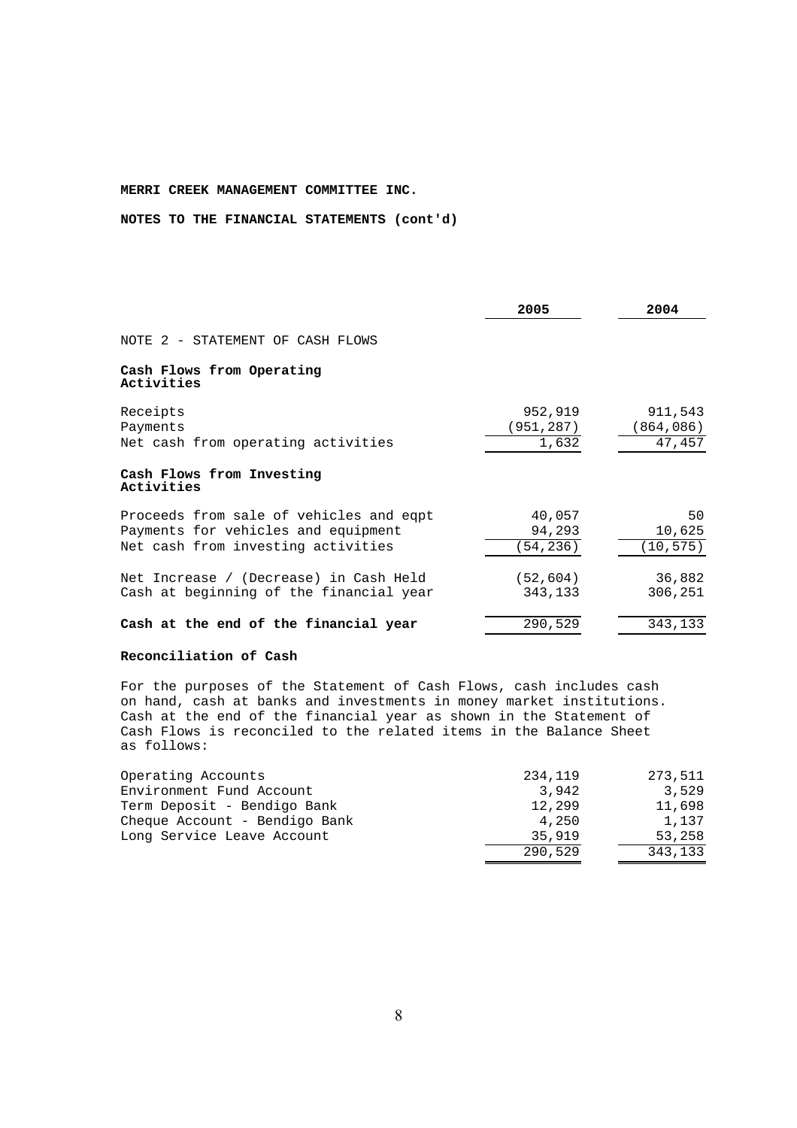**NOTES TO THE FINANCIAL STATEMENTS (cont'd)** 

|                                                                                                                      | 2005                          | 2004                           |
|----------------------------------------------------------------------------------------------------------------------|-------------------------------|--------------------------------|
| NOTE 2 - STATEMENT OF CASH FLOWS                                                                                     |                               |                                |
| Cash Flows from Operating<br>Activities                                                                              |                               |                                |
| Receipts<br>Payments<br>Net cash from operating activities                                                           | 952,919<br>(951,287)<br>1,632 | 911,543<br>(864,086)<br>47,457 |
| Cash Flows from Investing<br>Activities                                                                              |                               |                                |
| Proceeds from sale of vehicles and eqpt<br>Payments for vehicles and equipment<br>Net cash from investing activities | 40,057<br>94,293<br>(54,236)  | 50<br>10,625<br>(10, 575)      |
| Net Increase / (Decrease) in Cash Held<br>Cash at beginning of the financial year                                    | (52, 604)<br>343,133          | 36,882<br>306,251              |
| Cash at the end of the financial year                                                                                | 290,529                       | 343,133                        |

#### **Reconciliation of Cash**

For the purposes of the Statement of Cash Flows, cash includes cash on hand, cash at banks and investments in money market institutions. Cash at the end of the financial year as shown in the Statement of Cash Flows is reconciled to the related items in the Balance Sheet as follows:

| Operating Accounts            | 234,119 | 273,511 |
|-------------------------------|---------|---------|
| Environment Fund Account      | 3.942   | 3,529   |
| Term Deposit - Bendigo Bank   | 12,299  | 11,698  |
| Cheque Account - Bendigo Bank | 4,250   | 1,137   |
| Long Service Leave Account    | 35,919  | 53,258  |
|                               | 290,529 | 343,133 |